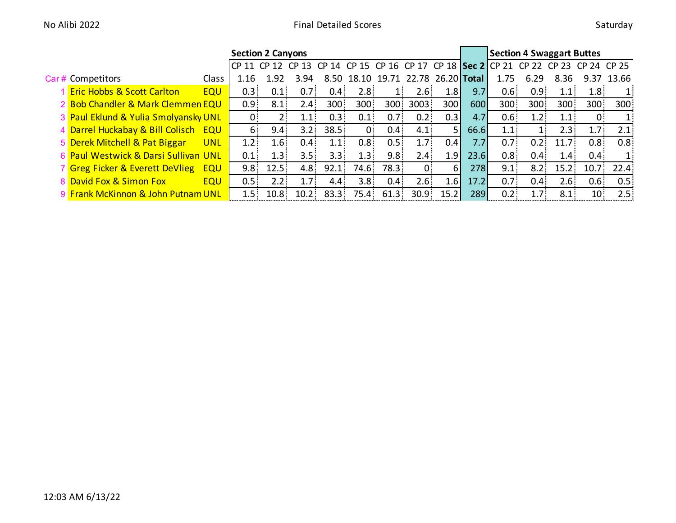|                                                     |            |                  | <b>Section 2 Canyons</b> |                   |                  |                  |                               | <b>Section 4 Swaggart Buttes</b> |      |                  |                                                                                         |                  |                   |                   |              |
|-----------------------------------------------------|------------|------------------|--------------------------|-------------------|------------------|------------------|-------------------------------|----------------------------------|------|------------------|-----------------------------------------------------------------------------------------|------------------|-------------------|-------------------|--------------|
|                                                     |            |                  |                          |                   |                  |                  |                               |                                  |      |                  | CP 11 CP 12 CP 13 CP 14 CP 15 CP 16 CP 17 CP 18   Sec 2   CP 21 CP 22 CP 23 CP 24 CP 25 |                  |                   |                   |              |
| Car# Competitors                                    | Class      | 1.16             | 1.92                     | 3.94              | 8.50             |                  | 18.10 19.71 22.78 26.20 Total |                                  |      |                  | 1.75                                                                                    | 6.29             | 8.36              | 9.37              | 13.66        |
| <b>Eric Hobbs &amp; Scott Carlton</b><br><b>EQU</b> |            | 0.3              | 0.1                      | 0.7 <sub>1</sub>  | 0.4 <sub>1</sub> | 2.8 <sup>1</sup> | $1 -$                         | 2.6:                             | 1.8  | 9.7              | 0.6 <sub>1</sub>                                                                        | 0.9 <sub>1</sub> | 1.1:              | 1.8 <sup>1</sup>  | $\mathbf{1}$ |
| 2 Bob Chandler & Mark Clemmen EQU                   |            | 0.9 <sup>1</sup> | 8.1                      | 2.4 <sup>1</sup>  | 300              | 300              | 300 <sub>1</sub>              | 3003                             | 300l | 600              | 300                                                                                     | 300              | 300               | 300               | 300          |
| 3 Paul Eklund & Yulia Smolyansky UNL                |            | $0^{\circ}$      | $2 -$                    | 1.1               | $0.3 -$          | 0.1              | 0.7 <sup>1</sup>              | 0.2                              | 0.3  | 4.7 <sub>1</sub> | 0.6 <sub>1</sub>                                                                        | 1.2              | 1.1:              | $\overline{0}$    | $1$ :        |
| 4 Darrel Huckabay & Bill Colisch EQU                |            | 6                | $9.4^{\circ}$            | 3.2               | 38.5             | 0                | 0.4 <sub>1</sub>              | 4.1                              | 51   | 66.6             | 1.1                                                                                     |                  | 2.3               | 1.7 <sub>1</sub>  | 2.1          |
| 5 Derek Mitchell & Pat Biggar                       | <b>UNL</b> | 1.2 <sup>1</sup> | 1.6 <sup>1</sup>         | 0.4 <sub>1</sub>  | 1.1:             | 0.8 <sub>1</sub> | 0.5                           | 1.7 <sup>2</sup>                 | 0.41 | 7.7              | 0.7 <sup>1</sup>                                                                        | 0.2:             | 11.7 <sup>2</sup> | 0.8 <sub>1</sub>  | 0.8:         |
| 6 Paul Westwick & Darsi Sullivan UNL                |            | 0.1              | 1.3                      | 3.5 <sub>1</sub>  | 3.3              | 1.3              | 9.8 <sub>1</sub>              | 2.4 <sup>1</sup>                 | 1.9  | 23.6             | 0.8 <sub>1</sub>                                                                        | 0.4 <sub>1</sub> | 1.4:              | 0.4 <sub>1</sub>  | $\mathbf{1}$ |
| 7 Greg Ficker & Everett DeVlieg<br><b>EQU</b>       |            | 9.8 <sup>1</sup> | 12.5                     | 4.8 <sup>°</sup>  | 92.1             | 74.6             | 78.3                          | $0^{\circ}$                      | .61  | 278              | 9.1                                                                                     | 8.2              | 15.2              | 10.7 <sub>1</sub> | 22.4         |
| 8 David Fox & Simon Fox                             | <b>EQU</b> | 0.5              | 2.2                      | 1.7 <sub>1</sub>  | 4.4              | 3.8 <sub>1</sub> | 0.4 <sub>1</sub>              | 2.6                              | 1.6  | 17.2             | 0.7 <sub>1</sub>                                                                        | 0.4 <sub>1</sub> | 2.6               | 0.6 <sub>1</sub>  | 0.5          |
| 9 Frank McKinnon & John Putnam UNL                  |            | 1.5:             | 10.8 <sub>1</sub>        | 10.2 <sub>1</sub> | 83.3             | 75.4             | 61.3                          | 30.9                             | 15.2 | 289              | 0.2                                                                                     | 1.7 <sub>1</sub> | 8.1               | 10 <sup>1</sup>   | 2.5.         |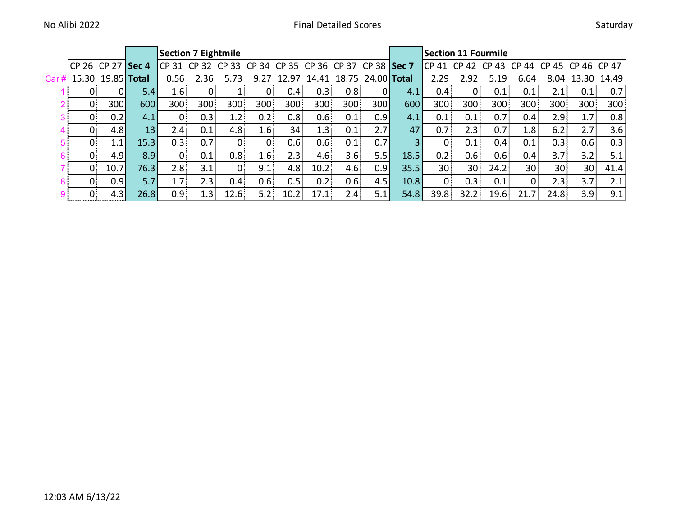|                         |                     |                 | <b>Section 7 Eightmile</b>                            |                  |                  |                  |                  |                   |                          |     |      | <b>Section 11 Fourmile</b>                |                  |                  |                   |                  |                  |                  |
|-------------------------|---------------------|-----------------|-------------------------------------------------------|------------------|------------------|------------------|------------------|-------------------|--------------------------|-----|------|-------------------------------------------|------------------|------------------|-------------------|------------------|------------------|------------------|
|                         | CP 26 CP 27 Sec 4   |                 | CP 31 CP 32 CP 33 CP 34 CP 35 CP 36 CP 37 CP 38 Sec 7 |                  |                  |                  |                  |                   |                          |     |      | CP 41 CP 42 CP 43 CP 44 CP 45 CP 46 CP 47 |                  |                  |                   |                  |                  |                  |
| Car # 15.30 19.85 Total |                     |                 | 0.56                                                  | 2.36             | 5.73             | 9.27             | 12.97            | 14.41             | 18.75 24.00 <b>Total</b> |     |      | 2.29                                      | 2.92             | 5.19             | 6.64              |                  | 8.04 13.30 14.49 |                  |
|                         | 0.<br>ΩI            | 5.41            | 1.6                                                   | 0.               |                  | $0^-$            | 0.4%             | 0.3               | 0.8 <sub>1</sub>         |     | 4.1  | 0.4 <sub>1</sub>                          | $0^-$            | 0.1              | 0.1               | 2.1 <sup>2</sup> | 0.1              | 0.7 <sup>2</sup> |
| $\mathbf{0}$            | 300                 | 600             | 300                                                   | 300              | 300              | 300              | 300              | 300               | 300                      | 300 | 600  | 300                                       | 300              | 300              | 300               | 300              | 300              | 300              |
| 3 ।                     | 0.2<br>$\mathbf{0}$ | 4.1             | 0 <sup>1</sup>                                        | 0.3              | 1.2%             | 0.2              | 0.8 <sub>1</sub> | 0.6 <sub>1</sub>  | 0.1                      | 0.9 | 4.1  | 0.1                                       | 0.1              | 0.7 <sub>1</sub> | 0.4 <sub>1</sub>  | 2.9              | 1.7 <sup>2</sup> | 0.8 <sub>1</sub> |
|                         | 4.8<br>$\mathbf{0}$ | 13 <sup>1</sup> | 2.4 <sup>2</sup>                                      | 0.1              | 4.8 <sup>1</sup> | 1.6              | 34 <sub>1</sub>  | 1.3 <sub>1</sub>  | 0.1                      | 2.7 | 47   | 0.7 <sup>1</sup>                          | 2.3%             | 0.7 <sub>1</sub> | 1.8               | 6.2              | 2.7 <sub>1</sub> | 3.6:             |
| $\mathbf{0}$            | 1.1                 | 15.3            | 0.3                                                   | 0.7 <sub>1</sub> |                  | $\mathbf{0}$     | 0.6 <sub>1</sub> | 0.6 <sub>1</sub>  | 0.1                      | 0.7 | 31   | $\mathbf{0}$                              | 0.1              | 0.4              | 0.1               | 0.3 <sub>1</sub> | 0.6 <sub>1</sub> | 0.3              |
| $\Omega$                | 4.9                 | 8.9             | $\Omega$                                              | 0.1              | 0.8 <sub>1</sub> | 1.6              | 2.3              | 4.6               | 3.6                      | 5.5 | 18.5 | 0.2                                       | 0.6 <sup>1</sup> | 0.6 <sub>1</sub> | 0.4 <sub>1</sub>  | 3.7 <sub>1</sub> | 3.2              | 5.1              |
| $\mathbf{0}$            | 10.7                | 76.3            | 2.8                                                   | 3.1              |                  | 9.1              | 4.8              | 10.2 <sub>1</sub> | 4.6                      | 0.9 | 35.5 | 30 <sup>°</sup>                           | 30 <sup>3</sup>  | 24.2             | 30 <sub>1</sub>   | 30 <sup>°</sup>  | 30 <sup>°</sup>  | 41.4             |
|                         | 0.9<br>$0^{\circ}$  | 5.7             | 1.7                                                   | 2.3              | 0.4 <sub>1</sub> | 0.6 <sub>1</sub> | 0.5              | 0.2               | 0.6:                     | 4.5 | 10.8 | $\overline{0}$                            | 0.3              | 0.1              | 0.                | 2.3              | 3.7 <sub>1</sub> | 2.1              |
| 9.                      | 4.3<br>0.           | 26.8            | 0.9 <sub>1</sub>                                      | 1.3              | 12.6             | 5.2 <sub>1</sub> | 10.2             | 17.1              | 2.4 <sup>1</sup>         | 5.1 | 54.8 | 39.8                                      | 32.2             | 19.6             | 21.7 <sup>2</sup> | 24.8             | 3.9 <sub>1</sub> | 9.1:             |